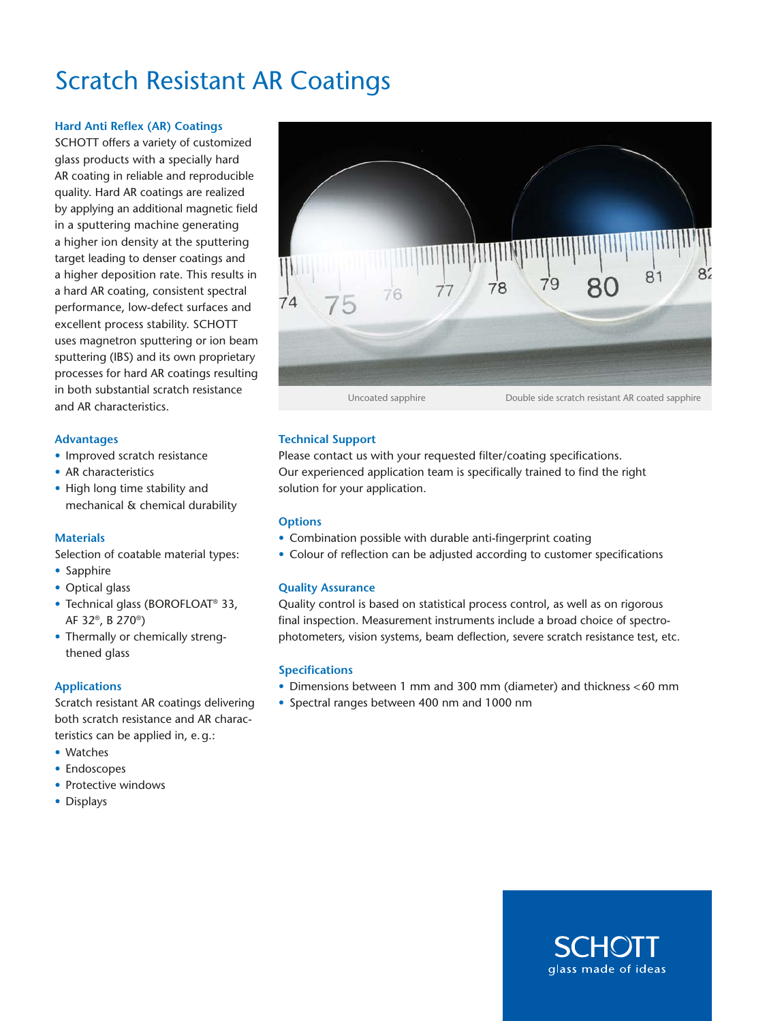# Scratch Resistant AR Coatings

# **Hard Anti Reflex (AR) Coatings**

SCHOTT offers a variety of customized glass products with a specially hard AR coating in reliable and reproducible quality. Hard AR coatings are realized by applying an additional magnetic field in a sputtering machine generating a higher ion density at the sputtering target leading to denser coatings and a higher deposition rate. This results in a hard AR coating, consistent spectral performance, low-defect surfaces and excellent process stability. SCHOTT uses magnetron sputtering or ion beam sputtering (IBS) and its own proprietary processes for hard AR coatings resulting in both substantial scratch resistance and AR characteristics.

#### **Advantages**

- Improved scratch resistance
- AR characteristics
- High long time stability and mechanical & chemical durability

## **Materials**

Selection of coatable material types:

- Sapphire
- Optical glass
- Technical glass (BOROFLOAT® 33, AF 32®, B 270®)
- Thermally or chemically strengthened glass

## **Applications**

Scratch resistant AR coatings delivering both scratch resistance and AR characteristics can be applied in, e.g.:

- Watches
- Endoscopes
- Protective windows
- Displays



# **Technical Support**

Please contact us with your requested filter/coating specifications. Our experienced application team is specifically trained to find the right solution for your application.

## **Options**

- Combination possible with durable anti-fingerprint coating
- Colour of reflection can be adjusted according to customer specifications

## **Quality Assurance**

Quality control is based on statistical process control, as well as on rigorous final inspection. Measurement instruments include a broad choice of spectrophotometers, vision systems, beam deflection, severe scratch resistance test, etc.

## **Specifications**

- Dimensions between 1 mm and 300 mm (diameter) and thickness <60 mm
- Spectral ranges between 400 nm and 1000 nm